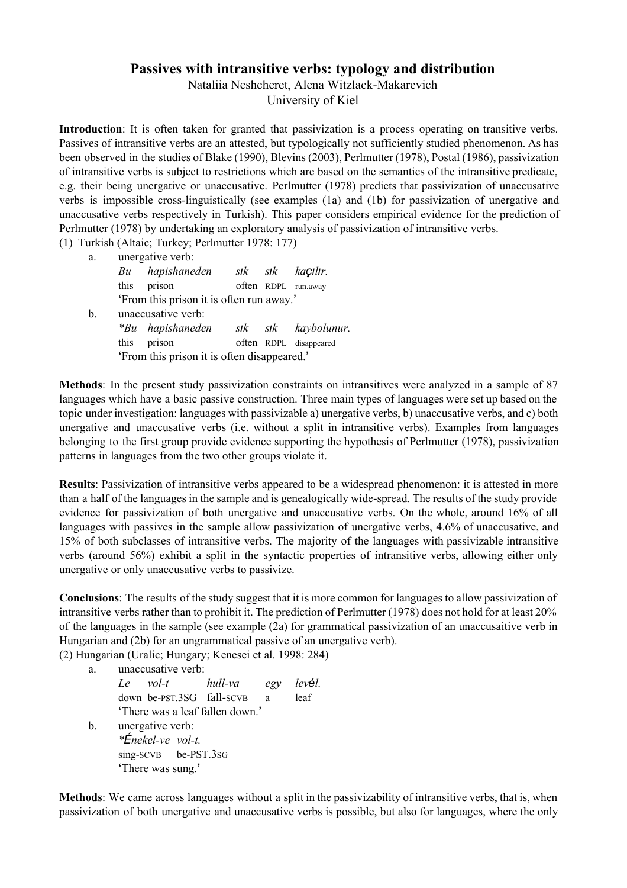## **Passives with intransitive verbs: typology and distribution**

Nataliia Neshcheret, Alena Witzlack-Makarevich

University of Kiel

**Introduction**: It is often taken for granted that passivization is a process operating on transitive verbs. Passives of intransitive verbs are an attested, but typologically not sufficiently studied phenomenon. As has been observed in the studies of Blake (1990), Blevins (2003), Perlmutter (1978), Postal (1986), passivization of intransitive verbs is subject to restrictions which are based on the semantics of the intransitive predicate, e.g. their being unergative or unaccusative. Perlmutter (1978) predicts that passivization of unaccusative verbs is impossible cross-linguistically (see examples (1a) and (1b) for passivization of unergative and unaccusative verbs respectively in Turkish). This paper considers empirical evidence for the prediction of Perlmutter (1978) by undertaking an exploratory analysis of passivization of intransitive verbs.

(1) Turkish (Altaic; Turkey; Perlmutter 1978: 177)

| unergative verb:                         |  |  |                                                                                                |  |  |
|------------------------------------------|--|--|------------------------------------------------------------------------------------------------|--|--|
| hapishaneden                             |  |  |                                                                                                |  |  |
| prison                                   |  |  |                                                                                                |  |  |
| 'From this prison it is often run away.' |  |  |                                                                                                |  |  |
| unaccusative verb:                       |  |  |                                                                                                |  |  |
| <i>*Bu</i> hapishaneden                  |  |  |                                                                                                |  |  |
|                                          |  |  | $s$ <sub>s</sub> $k$ $s$ $k$ $ka$ <i>ç</i> ılır.<br>often RDPL run.away<br>sik sik kaybolunur. |  |  |

this prison often RDPL disappeared 'From this prison it is often disappeared.'

**Methods**: In the present study passivization constraints on intransitives were analyzed in a sample of 87 languages which have a basic passive construction. Three main types of languages were set up based on the topic under investigation: languages with passivizable a) unergative verbs, b) unaccusative verbs, and c) both unergative and unaccusative verbs (i.e. without a split in intransitive verbs). Examples from languages belonging to the first group provide evidence supporting the hypothesis of Perlmutter (1978), passivization patterns in languages from the two other groups violate it.

**Results**: Passivization of intransitive verbs appeared to be a widespread phenomenon: it is attested in more than a half of the languages in the sample and is genealogically widespread. The results of the study provide evidence for passivization of both unergative and unaccusative verbs. On the whole, around 16% of all languages with passives in the sample allow passivization of unergative verbs, 4.6% of unaccusative, and 15% of both subclasses of intransitive verbs. The majority of the languages with passivizable intransitive verbs (around 56%) exhibit a split in the syntactic properties of intransitive verbs, allowing either only unergative or only unaccusative verbs to passivize.

**Conclusions**: The results of the study suggest that it is more common for languages to allow passivization of intransitive verbs rather than to prohibit it. The prediction of Perlmutter (1978) does not hold for at least 20% of the languages in the sample (see example (2a) for grammatical passivization of an unaccusaitive verb in Hungarian and (2b) for an ungrammatical passive of an unergative verb).

(2) Hungarian (Uralic; Hungary; Kenesei et al. 1998: 284)

a. unaccusative verb:

|    | Le vol-t hull-va egy levél.     |  |  |      |  |
|----|---------------------------------|--|--|------|--|
|    | down be-PST.3SG fall-SCVB a     |  |  | leaf |  |
|    | 'There was a leaf fallen down.' |  |  |      |  |
| b. | unergative verb:                |  |  |      |  |
|    | $* \acute{E}$ nekel-ve vol-t.   |  |  |      |  |
|    | sing-SCVB be-PST.3sG            |  |  |      |  |
|    | 'There was sung.'               |  |  |      |  |

**Methods**: We came across languages without a split in the passivizability of intransitive verbs, that is, when passivization of both unergative and unaccusative verbs is possible, but also for languages, where the only